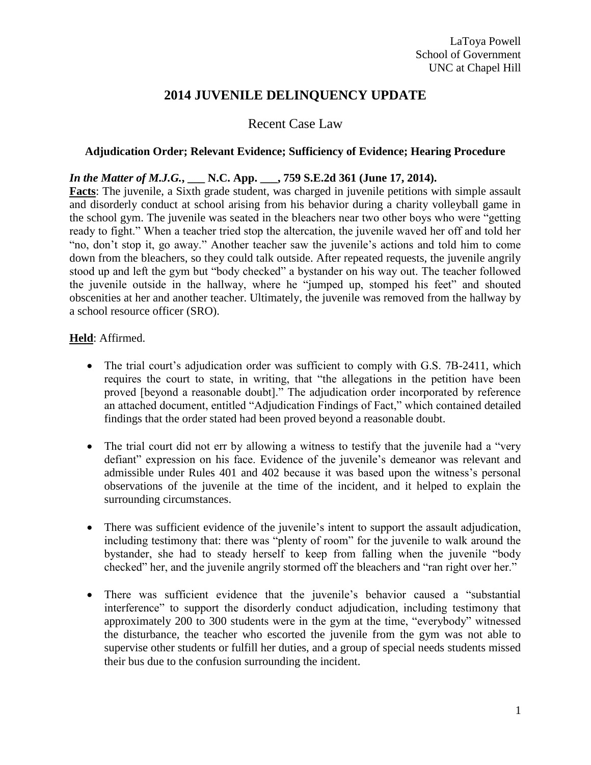# **2014 JUVENILE DELINQUENCY UPDATE**

# Recent Case Law

#### **Adjudication Order; Relevant Evidence; Sufficiency of Evidence; Hearing Procedure**

#### *In the Matter of M.J.G.***, \_\_\_ N.C. App. \_\_\_, 759 S.E.2d 361 (June 17, 2014).**

**Facts**: The juvenile, a Sixth grade student, was charged in juvenile petitions with simple assault and disorderly conduct at school arising from his behavior during a charity volleyball game in the school gym. The juvenile was seated in the bleachers near two other boys who were "getting ready to fight." When a teacher tried stop the altercation, the juvenile waved her off and told her "no, don't stop it, go away." Another teacher saw the juvenile's actions and told him to come down from the bleachers, so they could talk outside. After repeated requests, the juvenile angrily stood up and left the gym but "body checked" a bystander on his way out. The teacher followed the juvenile outside in the hallway, where he "jumped up, stomped his feet" and shouted obscenities at her and another teacher. Ultimately, the juvenile was removed from the hallway by a school resource officer (SRO).

#### **Held**: Affirmed.

- The trial court's adjudication order was sufficient to comply with G.S. 7B-2411, which requires the court to state, in writing, that "the allegations in the petition have been proved [beyond a reasonable doubt]." The adjudication order incorporated by reference an attached document, entitled "Adjudication Findings of Fact," which contained detailed findings that the order stated had been proved beyond a reasonable doubt.
- The trial court did not err by allowing a witness to testify that the juvenile had a "very" defiant" expression on his face. Evidence of the juvenile's demeanor was relevant and admissible under Rules 401 and 402 because it was based upon the witness's personal observations of the juvenile at the time of the incident, and it helped to explain the surrounding circumstances.
- There was sufficient evidence of the juvenile's intent to support the assault adjudication, including testimony that: there was "plenty of room" for the juvenile to walk around the bystander, she had to steady herself to keep from falling when the juvenile "body checked" her, and the juvenile angrily stormed off the bleachers and "ran right over her."
- There was sufficient evidence that the juvenile's behavior caused a "substantial" interference" to support the disorderly conduct adjudication, including testimony that approximately 200 to 300 students were in the gym at the time, "everybody" witnessed the disturbance, the teacher who escorted the juvenile from the gym was not able to supervise other students or fulfill her duties, and a group of special needs students missed their bus due to the confusion surrounding the incident.